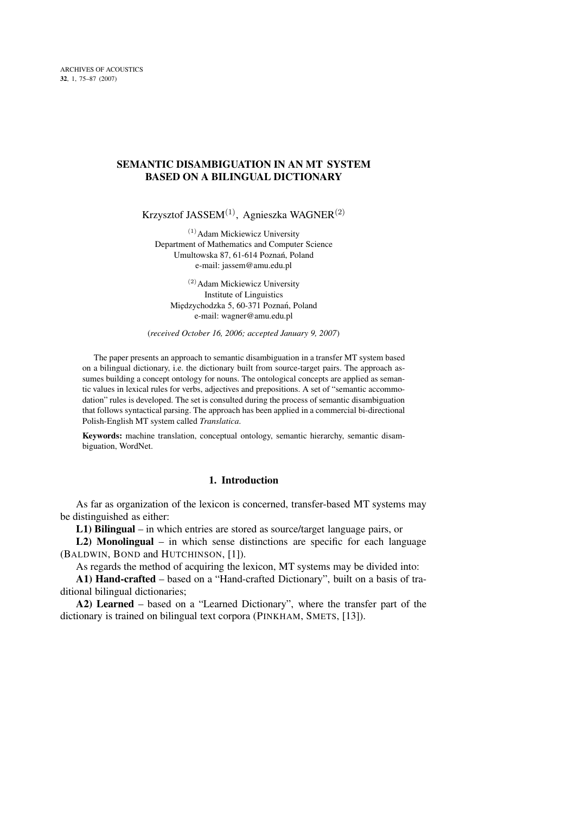# **SEMANTIC DISAMBIGUATION IN AN MT SYSTEM BASED ON A BILINGUAL DICTIONARY**

Krzysztof JASSEM<sup>(1)</sup>, Agnieszka WAGNER<sup>(2)</sup>

 $(1)$ Adam Mickiewicz University Department of Mathematics and Computer Science Umultowska 87, 61-614 Poznań, Poland e-mail: jassem@amu.edu.pl

<sup>(2)</sup> Adam Mickiewicz University Institute of Linguistics Międzychodzka 5, 60-371 Poznań, Poland e-mail: wagner@amu.edu.pl

(*received October 16, 2006; accepted January 9, 2007*)

The paper presents an approach to semantic disambiguation in a transfer MT system based on a bilingual dictionary, i.e. the dictionary built from source-target pairs. The approach assumes building a concept ontology for nouns. The ontological concepts are applied as semantic values in lexical rules for verbs, adjectives and prepositions. A set of "semantic accommodation" rules is developed. The set is consulted during the process of semantic disambiguation that follows syntactical parsing. The approach has been applied in a commercial bi-directional Polish-English MT system called *Translatica*.

**Keywords:** machine translation, conceptual ontology, semantic hierarchy, semantic disambiguation, WordNet.

# **1. Introduction**

As far as organization of the lexicon is concerned, transfer-based MT systems may be distinguished as either:

**L1) Bilingual** – in which entries are stored as source/target language pairs, or

**L2) Monolingual** – in which sense distinctions are specific for each language (BALDWIN, BOND and HUTCHINSON, [1]).

As regards the method of acquiring the lexicon, MT systems may be divided into:

**A1) Hand-crafted** – based on a "Hand-crafted Dictionary", built on a basis of traditional bilingual dictionaries;

**A2) Learned** – based on a "Learned Dictionary", where the transfer part of the dictionary is trained on bilingual text corpora (PINKHAM, SMETS, [13]).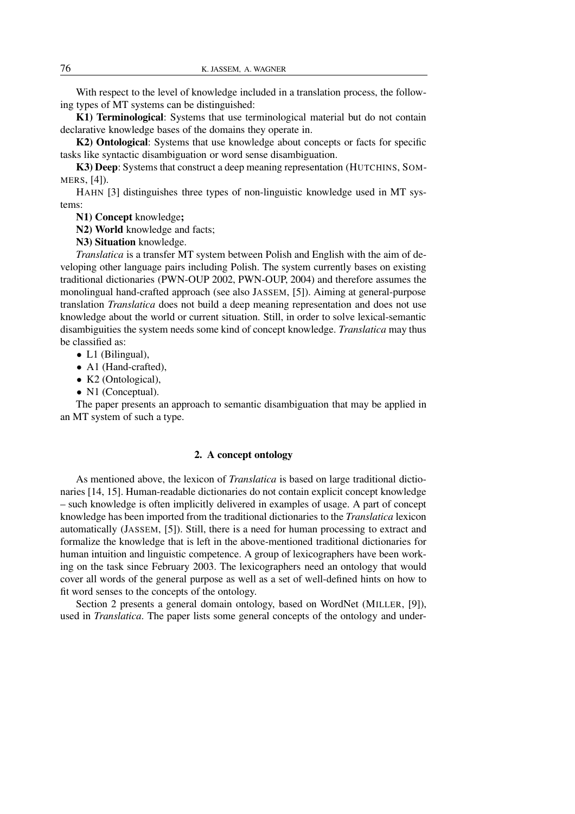With respect to the level of knowledge included in a translation process, the following types of MT systems can be distinguished:

**K1) Terminological**: Systems that use terminological material but do not contain declarative knowledge bases of the domains they operate in.

**K2) Ontological**: Systems that use knowledge about concepts or facts for specific tasks like syntactic disambiguation or word sense disambiguation.

**K3) Deep**: Systems that construct a deep meaning representation (HUTCHINS, SOM-MERS, [4]).

HAHN [3] distinguishes three types of non-linguistic knowledge used in MT systems:

**N1) Concept** knowledge**;**

**N2) World** knowledge and facts;

**N3) Situation** knowledge.

*Translatica* is a transfer MT system between Polish and English with the aim of developing other language pairs including Polish. The system currently bases on existing traditional dictionaries (PWN-OUP 2002, PWN-OUP, 2004) and therefore assumes the monolingual hand-crafted approach (see also JASSEM, [5]). Aiming at general-purpose translation *Translatica* does not build a deep meaning representation and does not use knowledge about the world or current situation. Still, in order to solve lexical-semantic disambiguities the system needs some kind of concept knowledge. *Translatica* may thus be classified as:

- L1 (Bilingual),
- A1 (Hand-crafted),
- K2 (Ontological),
- N1 (Conceptual).

The paper presents an approach to semantic disambiguation that may be applied in an MT system of such a type.

#### **2. A concept ontology**

As mentioned above, the lexicon of *Translatica* is based on large traditional dictionaries [14, 15]. Human-readable dictionaries do not contain explicit concept knowledge – such knowledge is often implicitly delivered in examples of usage. A part of concept knowledge has been imported from the traditional dictionaries to the *Translatica* lexicon automatically (JASSEM, [5]). Still, there is a need for human processing to extract and formalize the knowledge that is left in the above-mentioned traditional dictionaries for human intuition and linguistic competence. A group of lexicographers have been working on the task since February 2003. The lexicographers need an ontology that would cover all words of the general purpose as well as a set of well-defined hints on how to fit word senses to the concepts of the ontology.

Section 2 presents a general domain ontology, based on WordNet (MILLER, [9]), used in *Translatica*. The paper lists some general concepts of the ontology and under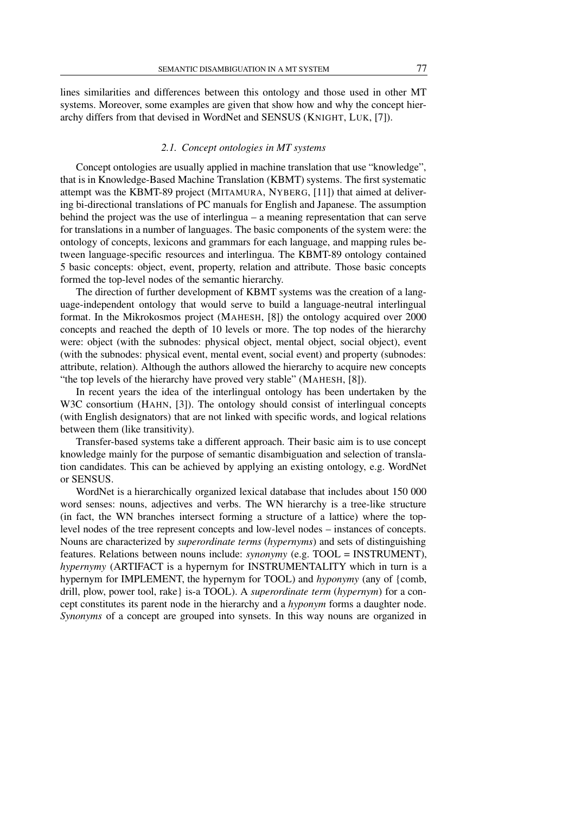lines similarities and differences between this ontology and those used in other MT systems. Moreover, some examples are given that show how and why the concept hierarchy differs from that devised in WordNet and SENSUS (KNIGHT, LUK, [7]).

### *2.1. Concept ontologies in MT systems*

Concept ontologies are usually applied in machine translation that use "knowledge", that is in Knowledge-Based Machine Translation (KBMT) systems. The first systematic attempt was the KBMT-89 project (MITAMURA, NYBERG, [11]) that aimed at delivering bi-directional translations of PC manuals for English and Japanese. The assumption behind the project was the use of interlingua – a meaning representation that can serve for translations in a number of languages. The basic components of the system were: the ontology of concepts, lexicons and grammars for each language, and mapping rules between language-specific resources and interlingua. The KBMT-89 ontology contained 5 basic concepts: object, event, property, relation and attribute. Those basic concepts formed the top-level nodes of the semantic hierarchy.

The direction of further development of KBMT systems was the creation of a language-independent ontology that would serve to build a language-neutral interlingual format. In the Mikrokosmos project (MAHESH, [8]) the ontology acquired over 2000 concepts and reached the depth of 10 levels or more. The top nodes of the hierarchy were: object (with the subnodes: physical object, mental object, social object), event (with the subnodes: physical event, mental event, social event) and property (subnodes: attribute, relation). Although the authors allowed the hierarchy to acquire new concepts "the top levels of the hierarchy have proved very stable" (MAHESH, [8]).

In recent years the idea of the interlingual ontology has been undertaken by the W3C consortium (HAHN, [3]). The ontology should consist of interlingual concepts (with English designators) that are not linked with specific words, and logical relations between them (like transitivity).

Transfer-based systems take a different approach. Their basic aim is to use concept knowledge mainly for the purpose of semantic disambiguation and selection of translation candidates. This can be achieved by applying an existing ontology, e.g. WordNet or SENSUS.

WordNet is a hierarchically organized lexical database that includes about 150 000 word senses: nouns, adjectives and verbs. The WN hierarchy is a tree-like structure (in fact, the WN branches intersect forming a structure of a lattice) where the toplevel nodes of the tree represent concepts and low-level nodes – instances of concepts. Nouns are characterized by *superordinate terms* (*hypernyms*) and sets of distinguishing features. Relations between nouns include: *synonymy* (e.g. TOOL = INSTRUMENT), *hypernymy* (ARTIFACT is a hypernym for INSTRUMENTALITY which in turn is a hypernym for IMPLEMENT, the hypernym for TOOL) and *hyponymy* (any of {comb, drill, plow, power tool, rake} is-a TOOL). A *superordinate term* (*hypernym*) for a concept constitutes its parent node in the hierarchy and a *hyponym* forms a daughter node. *Synonyms* of a concept are grouped into synsets. In this way nouns are organized in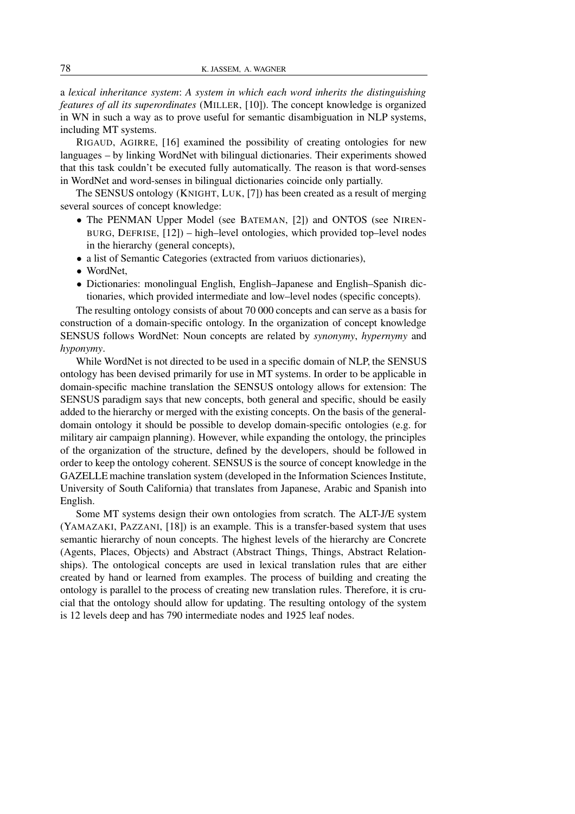a *lexical inheritance system*: *A system in which each word inherits the distinguishing features of all its superordinates* (MILLER, [10]). The concept knowledge is organized in WN in such a way as to prove useful for semantic disambiguation in NLP systems, including MT systems.

RIGAUD, AGIRRE, [16] examined the possibility of creating ontologies for new languages – by linking WordNet with bilingual dictionaries. Their experiments showed that this task couldn't be executed fully automatically. The reason is that word-senses in WordNet and word-senses in bilingual dictionaries coincide only partially.

The SENSUS ontology (KNIGHT, LUK, [7]) has been created as a result of merging several sources of concept knowledge:

- The PENMAN Upper Model (see BATEMAN, [2]) and ONTOS (see NIREN-BURG, DEFRISE, [12]) – high–level ontologies, which provided top–level nodes in the hierarchy (general concepts),
- a list of Semantic Categories (extracted from variuos dictionaries),
- WordNet,
- Dictionaries: monolingual English, English–Japanese and English–Spanish dictionaries, which provided intermediate and low–level nodes (specific concepts).

The resulting ontology consists of about 70 000 concepts and can serve as a basis for construction of a domain-specific ontology. In the organization of concept knowledge SENSUS follows WordNet: Noun concepts are related by *synonymy*, *hypernymy* and *hyponymy*.

While WordNet is not directed to be used in a specific domain of NLP, the SENSUS ontology has been devised primarily for use in MT systems. In order to be applicable in domain-specific machine translation the SENSUS ontology allows for extension: The SENSUS paradigm says that new concepts, both general and specific, should be easily added to the hierarchy or merged with the existing concepts. On the basis of the generaldomain ontology it should be possible to develop domain-specific ontologies (e.g. for military air campaign planning). However, while expanding the ontology, the principles of the organization of the structure, defined by the developers, should be followed in order to keep the ontology coherent. SENSUS is the source of concept knowledge in the GAZELLEmachine translation system (developed in the Information Sciences Institute, University of South California) that translates from Japanese, Arabic and Spanish into English.

Some MT systems design their own ontologies from scratch. The ALT-J/E system (YAMAZAKI, PAZZANI, [18]) is an example. This is a transfer-based system that uses semantic hierarchy of noun concepts. The highest levels of the hierarchy are Concrete (Agents, Places, Objects) and Abstract (Abstract Things, Things, Abstract Relationships). The ontological concepts are used in lexical translation rules that are either created by hand or learned from examples. The process of building and creating the ontology is parallel to the process of creating new translation rules. Therefore, it is crucial that the ontology should allow for updating. The resulting ontology of the system is 12 levels deep and has 790 intermediate nodes and 1925 leaf nodes.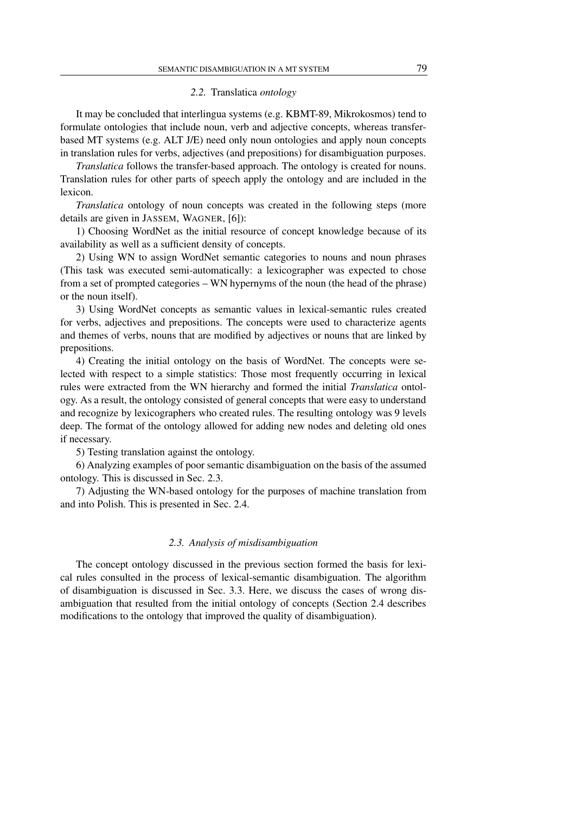# *2.2.* Translatica *ontology*

It may be concluded that interlingua systems (e.g. KBMT-89, Mikrokosmos) tend to formulate ontologies that include noun, verb and adjective concepts, whereas transferbased MT systems (e.g. ALT J/E) need only noun ontologies and apply noun concepts in translation rules for verbs, adjectives (and prepositions) for disambiguation purposes.

*Translatica* follows the transfer-based approach. The ontology is created for nouns. Translation rules for other parts of speech apply the ontology and are included in the lexicon.

*Translatica* ontology of noun concepts was created in the following steps (more details are given in JASSEM, WAGNER, [6]):

1) Choosing WordNet as the initial resource of concept knowledge because of its availability as well as a sufficient density of concepts.

2) Using WN to assign WordNet semantic categories to nouns and noun phrases (This task was executed semi-automatically: a lexicographer was expected to chose from a set of prompted categories – WN hypernyms of the noun (the head of the phrase) or the noun itself).

3) Using WordNet concepts as semantic values in lexical-semantic rules created for verbs, adjectives and prepositions. The concepts were used to characterize agents and themes of verbs, nouns that are modified by adjectives or nouns that are linked by prepositions.

4) Creating the initial ontology on the basis of WordNet. The concepts were selected with respect to a simple statistics: Those most frequently occurring in lexical rules were extracted from the WN hierarchy and formed the initial *Translatica* ontology. As a result, the ontology consisted of general concepts that were easy to understand and recognize by lexicographers who created rules. The resulting ontology was 9 levels deep. The format of the ontology allowed for adding new nodes and deleting old ones if necessary.

5) Testing translation against the ontology.

6) Analyzing examples of poor semantic disambiguation on the basis of the assumed ontology. This is discussed in Sec. 2.3.

7) Adjusting the WN-based ontology for the purposes of machine translation from and into Polish. This is presented in Sec. 2.4.

### *2.3. Analysis of misdisambiguation*

The concept ontology discussed in the previous section formed the basis for lexical rules consulted in the process of lexical-semantic disambiguation. The algorithm of disambiguation is discussed in Sec. 3.3. Here, we discuss the cases of wrong disambiguation that resulted from the initial ontology of concepts (Section 2.4 describes modifications to the ontology that improved the quality of disambiguation).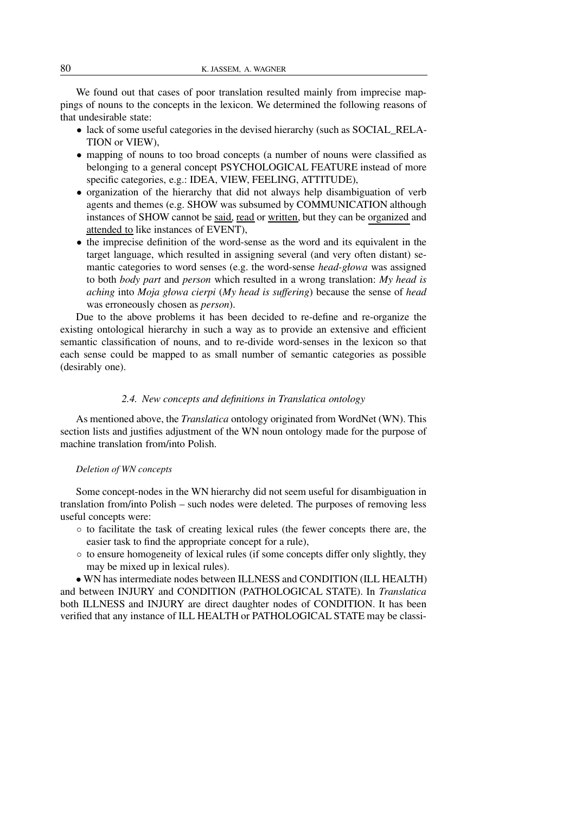We found out that cases of poor translation resulted mainly from imprecise mappings of nouns to the concepts in the lexicon. We determined the following reasons of that undesirable state:

- lack of some useful categories in the devised hierarchy (such as SOCIAL\_RELA-TION or VIEW),
- mapping of nouns to too broad concepts (a number of nouns were classified as belonging to a general concept PSYCHOLOGICAL FEATURE instead of more specific categories, e.g.: IDEA, VIEW, FEELING, ATTITUDE),
- organization of the hierarchy that did not always help disambiguation of verb agents and themes (e.g. SHOW was subsumed by COMMUNICATION although instances of SHOW cannot be said, read or written, but they can be organized and attended to like instances of EVENT),
- the imprecise definition of the word-sense as the word and its equivalent in the target language, which resulted in assigning several (and very often distant) semantic categories to word senses (e.g. the word-sense *head-głowa* was assigned to both *body part* and *person* which resulted in a wrong translation: *My head is aching* into *Moja głowa cierpi* (*My head is suffering*) because the sense of *head* was erroneously chosen as *person*).

Due to the above problems it has been decided to re-define and re-organize the existing ontological hierarchy in such a way as to provide an extensive and efficient semantic classification of nouns, and to re-divide word-senses in the lexicon so that each sense could be mapped to as small number of semantic categories as possible (desirably one).

## *2.4. New concepts and definitions in Translatica ontology*

As mentioned above, the *Translatica* ontology originated from WordNet (WN). This section lists and justifies adjustment of the WN noun ontology made for the purpose of machine translation from/into Polish.

## *Deletion of WN concepts*

Some concept-nodes in the WN hierarchy did not seem useful for disambiguation in translation from/into Polish – such nodes were deleted. The purposes of removing less useful concepts were:

- to facilitate the task of creating lexical rules (the fewer concepts there are, the easier task to find the appropriate concept for a rule),
- to ensure homogeneity of lexical rules (if some concepts differ only slightly, they may be mixed up in lexical rules).

• WN has intermediate nodes between ILLNESS and CONDITION (ILL HEALTH) and between INJURY and CONDITION (PATHOLOGICAL STATE). In *Translatica* both ILLNESS and INJURY are direct daughter nodes of CONDITION. It has been verified that any instance of ILL HEALTH or PATHOLOGICAL STATE may be classi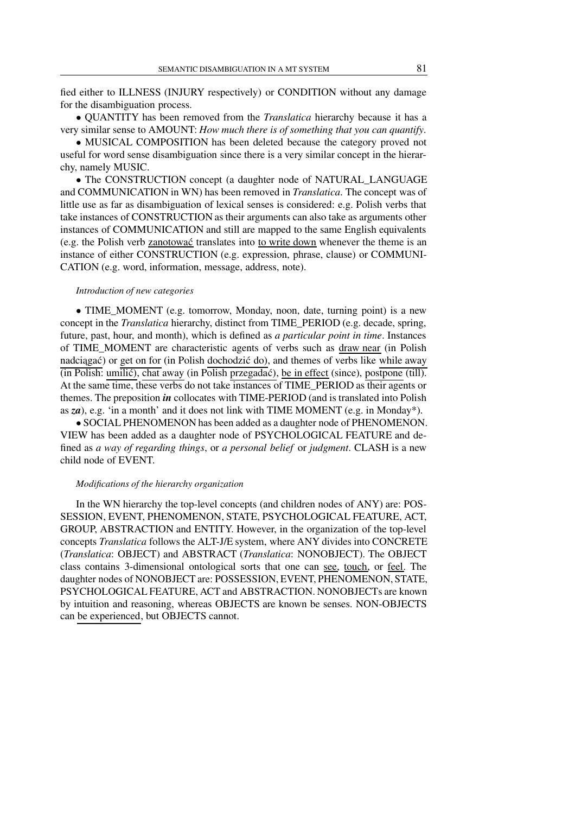fied either to ILLNESS (INJURY respectively) or CONDITION without any damage for the disambiguation process.

• QUANTITY has been removed from the *Translatica* hierarchy because it has a very similar sense to AMOUNT: *How much there is of something that you can quantify*.

• MUSICAL COMPOSITION has been deleted because the category proved not useful for word sense disambiguation since there is a very similar concept in the hierarchy, namely MUSIC.

• The CONSTRUCTION concept (a daughter node of NATURAL\_LANGUAGE and COMMUNICATION in WN) has been removed in *Translatica*. The concept was of little use as far as disambiguation of lexical senses is considered: e.g. Polish verbs that take instances of CONSTRUCTION as their arguments can also take as arguments other instances of COMMUNICATION and still are mapped to the same English equivalents (e.g. the Polish verb zanotowac´ translates into to write down whenever the theme is an instance of either CONSTRUCTION (e.g. expression, phrase, clause) or COMMUNI-CATION (e.g. word, information, message, address, note).

## *Introduction of new categories*

• TIME\_MOMENT (e.g. tomorrow, Monday, noon, date, turning point) is a new concept in the *Translatica* hierarchy, distinct from TIME\_PERIOD (e.g. decade, spring, future, past, hour, and month), which is defined as *a particular point in time*. Instances of TIME\_MOMENT are characteristic agents of verbs such as draw near (in Polish nadciagać) or get on for (in Polish dochodzić do), and themes of verbs like while away  $\overline{\text{(in Polish: unilic)}}$ , chat away (in Polish przegadać), be in effect (since), postpone (till). At the same time, these verbs do not take instances of TIME\_PERIOD as their agents or themes. The preposition *in* collocates with TIME-PERIOD (and is translated into Polish as  $z\alpha$ ), e.g. 'in a month' and it does not link with TIME MOMENT (e.g. in Monday\*).

• SOCIAL PHENOMENON has been added as a daughter node of PHENOMENON. VIEW has been added as a daughter node of PSYCHOLOGICAL FEATURE and defined as *a way of regarding things*, or *a personal belief* or *judgment*. CLASH is a new child node of EVENT.

### *Modifications of the hierarchy organization*

In the WN hierarchy the top-level concepts (and children nodes of ANY) are: POS-SESSION, EVENT, PHENOMENON, STATE, PSYCHOLOGICAL FEATURE, ACT, GROUP, ABSTRACTION and ENTITY. However, in the organization of the top-level concepts *Translatica* follows the ALT-J/E system, where ANY divides into CONCRETE (*Translatica*: OBJECT) and ABSTRACT (*Translatica*: NONOBJECT). The OBJECT class contains 3-dimensional ontological sorts that one can see, touch, or feel. The daughter nodes of NONOBJECT are: POSSESSION, EVENT, PHENOMENON, STATE, PSYCHOLOGICAL FEATURE, ACT and ABSTRACTION. NONOBJECTs are known by intuition and reasoning, whereas OBJECTS are known be senses. NON-OBJECTS can be experienced, but OBJECTS cannot.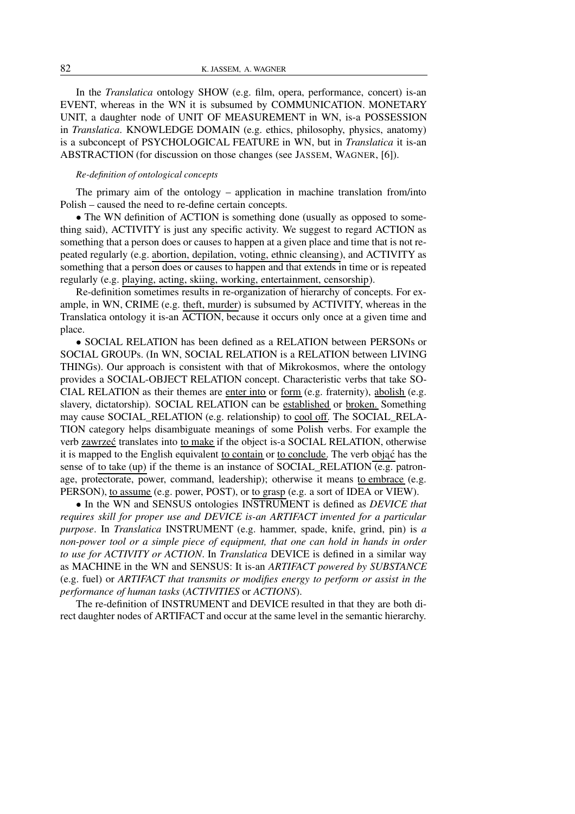In the *Translatica* ontology SHOW (e.g. film, opera, performance, concert) is-an EVENT, whereas in the WN it is subsumed by COMMUNICATION. MONETARY UNIT, a daughter node of UNIT OF MEASUREMENT in WN, is-a POSSESSION in *Translatica*. KNOWLEDGE DOMAIN (e.g. ethics, philosophy, physics, anatomy) is a subconcept of PSYCHOLOGICAL FEATURE in WN, but in *Translatica* it is-an ABSTRACTION (for discussion on those changes (see JASSEM, WAGNER, [6]).

### *Re-definition of ontological concepts*

The primary aim of the ontology – application in machine translation from/into Polish – caused the need to re-define certain concepts.

• The WN definition of ACTION is something done (usually as opposed to something said), ACTIVITY is just any specific activity. We suggest to regard ACTION as something that a person does or causes to happen at a given place and time that is not repeated regularly (e.g. abortion, depilation, voting, ethnic cleansing), and ACTIVITY as something that a person does or causes to happen and that extends in time or is repeated regularly (e.g. playing, acting, skiing, working, entertainment, censorship).

Re-definition sometimes results in re-organization of hierarchy of concepts. For example, in WN, CRIME (e.g. theft, murder) is subsumed by ACTIVITY, whereas in the Translatica ontology it is-an ACTION, because it occurs only once at a given time and place.

• SOCIAL RELATION has been defined as a RELATION between PERSONs or SOCIAL GROUPs. (In WN, SOCIAL RELATION is a RELATION between LIVING THINGs). Our approach is consistent with that of Mikrokosmos, where the ontology provides a SOCIAL-OBJECT RELATION concept. Characteristic verbs that take SO-CIAL RELATION as their themes are enter into or form (e.g. fraternity), abolish (e.g. slavery, dictatorship). SOCIAL RELATION can be established or broken. Something may cause SOCIAL\_RELATION (e.g. relationship) to cool off. The SOCIAL\_RELA-TION category helps disambiguate meanings of some Polish verbs. For example the verb zawrzec´ translates into to make if the object is-a SOCIAL RELATION, otherwise it is mapped to the English equivalent to contain or to conclude. The verb objac´ has the sense of to take (up) if the theme is an instance of SOCIAL RELATION (e.g. patronage, protectorate, power, command, leadership); otherwise it means to embrace (e.g. PERSON), to assume (e.g. power, POST), or to grasp (e.g. a sort of IDEA or VIEW).

• In the WN and SENSUS ontologies INSTRUMENT is defined as *DEVICE that requires skill for proper use and DEVICE is-an ARTIFACT invented for a particular purpose*. In *Translatica* INSTRUMENT (e.g. hammer, spade, knife, grind, pin) is *a non-power tool or a simple piece of equipment, that one can hold in hands in order to use for ACTIVITY or ACTION*. In *Translatica* DEVICE is defined in a similar way as MACHINE in the WN and SENSUS: It is-an *ARTIFACT powered by SUBSTANCE* (e.g. fuel) or *ARTIFACT that transmits or modifies energy to perform or assist in the performance of human tasks* (*ACTIVITIES* or *ACTIONS*).

The re-definition of INSTRUMENT and DEVICE resulted in that they are both direct daughter nodes of ARTIFACT and occur at the same level in the semantic hierarchy.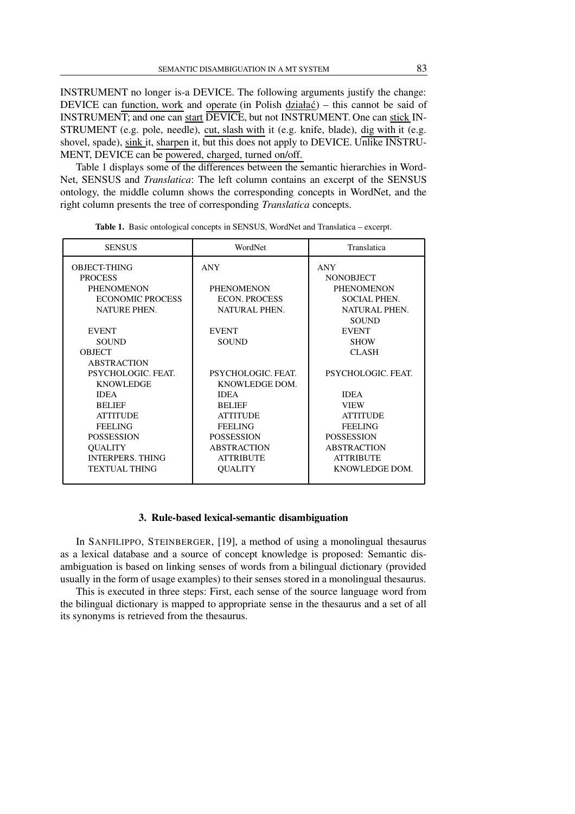INSTRUMENT no longer is-a DEVICE. The following arguments justify the change: DEVICE can function, work and operate (in Polish działac $\acute{o}$ ) – this cannot be said of INSTRUMENT; and one can start DEVICE, but not INSTRUMENT. One can stick IN-STRUMENT (e.g. pole, needle), cut, slash with it (e.g. knife, blade), dig with it (e.g. shovel, spade), sink it, sharpen it, but this does not apply to DEVICE. Unlike INSTRU-MENT, DEVICE can be powered, charged, turned on/off.

Table 1 displays some of the differences between the semantic hierarchies in Word-Net, SENSUS and *Translatica*: The left column contains an excerpt of the SENSUS ontology, the middle column shows the corresponding concepts in WordNet, and the right column presents the tree of corresponding *Translatica* concepts.

| <b>SENSUS</b>           | WordNet              | Translatica         |
|-------------------------|----------------------|---------------------|
| <b>OBJECT-THING</b>     | <b>ANY</b>           | <b>ANY</b>          |
| <b>PROCESS</b>          |                      | <b>NONOBJECT</b>    |
| <b>PHENOMENON</b>       | <b>PHENOMENON</b>    | <b>PHENOMENON</b>   |
| <b>ECONOMIC PROCESS</b> | <b>ECON. PROCESS</b> | <b>SOCIAL PHEN.</b> |
| NATURE PHEN.            | NATURAL PHEN.        | NATURAL PHEN.       |
|                         |                      | <b>SOUND</b>        |
| <b>EVENT</b>            | <b>EVENT</b>         | <b>EVENT</b>        |
| <b>SOUND</b>            | <b>SOUND</b>         | <b>SHOW</b>         |
| <b>OBJECT</b>           |                      | <b>CLASH</b>        |
| <b>ABSTRACTION</b>      |                      |                     |
| PSYCHOLOGIC. FEAT.      | PSYCHOLOGIC. FEAT.   | PSYCHOLOGIC. FEAT.  |
| <b>KNOWLEDGE</b>        | KNOWLEDGE DOM.       |                     |
| <b>IDEA</b>             | <b>IDEA</b>          | <b>IDEA</b>         |
| <b>BELIEF</b>           | <b>BELIEF</b>        | <b>VIEW</b>         |
| <b>ATTITUDE</b>         | <b>ATTITUDE</b>      | <b>ATTITUDE</b>     |
| <b>FEELING</b>          | <b>FEELING</b>       | <b>FEELING</b>      |
| <b>POSSESSION</b>       | <b>POSSESSION</b>    | <b>POSSESSION</b>   |
| <b>QUALITY</b>          | <b>ABSTRACTION</b>   | <b>ABSTRACTION</b>  |
| <b>INTERPERS. THING</b> | <b>ATTRIBUTE</b>     | <b>ATTRIBUTE</b>    |
| <b>TEXTUAL THING</b>    | <b>OUALITY</b>       | KNOWLEDGE DOM.      |
|                         |                      |                     |

**Table 1.** Basic ontological concepts in SENSUS, WordNet and Translatica – excerpt.

### **3. Rule-based lexical-semantic disambiguation**

In SANFILIPPO, STEINBERGER, [19], a method of using a monolingual thesaurus as a lexical database and a source of concept knowledge is proposed: Semantic disambiguation is based on linking senses of words from a bilingual dictionary (provided usually in the form of usage examples) to their senses stored in a monolingual thesaurus.

This is executed in three steps: First, each sense of the source language word from the bilingual dictionary is mapped to appropriate sense in the thesaurus and a set of all its synonyms is retrieved from the thesaurus.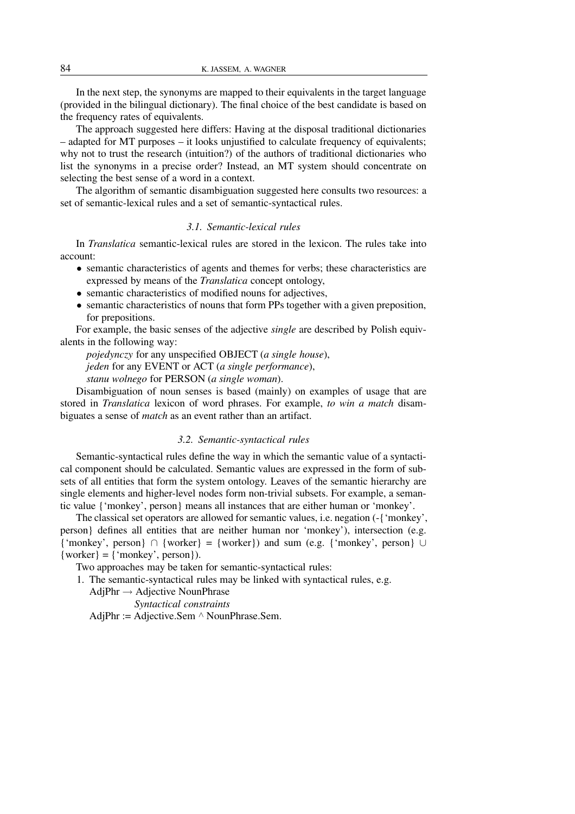In the next step, the synonyms are mapped to their equivalents in the target language (provided in the bilingual dictionary). The final choice of the best candidate is based on the frequency rates of equivalents.

The approach suggested here differs: Having at the disposal traditional dictionaries – adapted for MT purposes – it looks unjustified to calculate frequency of equivalents; why not to trust the research (intuition?) of the authors of traditional dictionaries who list the synonyms in a precise order? Instead, an MT system should concentrate on selecting the best sense of a word in a context.

The algorithm of semantic disambiguation suggested here consults two resources: a set of semantic-lexical rules and a set of semantic-syntactical rules.

# *3.1. Semantic-lexical rules*

In *Translatica* semantic-lexical rules are stored in the lexicon. The rules take into account:

- semantic characteristics of agents and themes for verbs; these characteristics are expressed by means of the *Translatica* concept ontology,
- semantic characteristics of modified nouns for adjectives,
- semantic characteristics of nouns that form PPs together with a given preposition, for prepositions.

For example, the basic senses of the adjective *single* are described by Polish equivalents in the following way:

*pojedynczy* for any unspecified OBJECT (*a single house*),

*jeden* for any EVENT or ACT (*a single performance*),

*stanu wolnego* for PERSON (*a single woman*).

Disambiguation of noun senses is based (mainly) on examples of usage that are stored in *Translatica* lexicon of word phrases. For example, *to win a match* disambiguates a sense of *match* as an event rather than an artifact.

## *3.2. Semantic-syntactical rules*

Semantic-syntactical rules define the way in which the semantic value of a syntactical component should be calculated. Semantic values are expressed in the form of subsets of all entities that form the system ontology. Leaves of the semantic hierarchy are single elements and higher-level nodes form non-trivial subsets. For example, a semantic value {'monkey', person} means all instances that are either human or 'monkey'.

The classical set operators are allowed for semantic values, i.e. negation (-{'monkey', person} defines all entities that are neither human nor 'monkey'), intersection (e.g.  ${\text{``monkey''}, person} \cap {\text{worker}} = {\text{worker}}$ ) and sum (e.g.  ${\text{``monkey''}, person}} \cup$  $\{worker\} = \{ 'monkey', person \}).$ 

Two approaches may be taken for semantic-syntactical rules:

1. The semantic-syntactical rules may be linked with syntactical rules, e.g.

 $AdjPhr \rightarrow Adjective NounPhrase$ 

*Syntactical constraints*

AdjPhr := Adjective.Sem  $\land$  NounPhrase.Sem.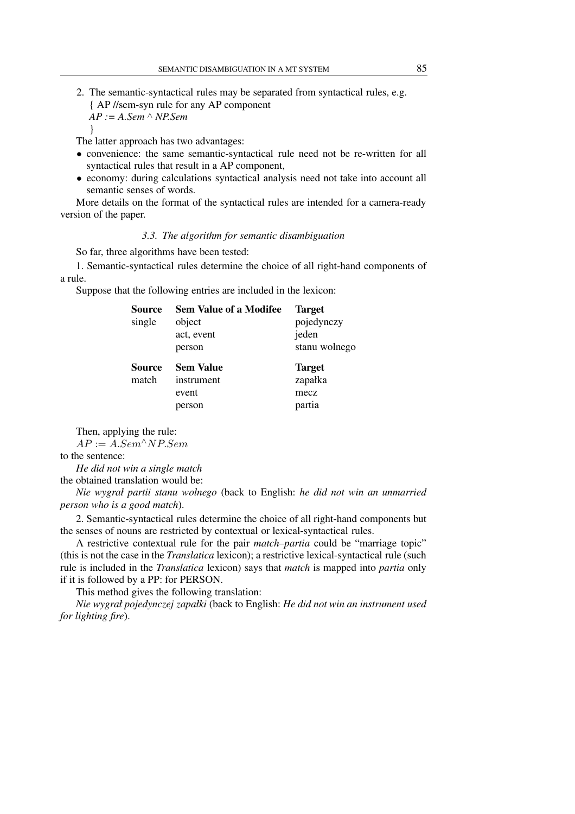2. The semantic-syntactical rules may be separated from syntactical rules, e.g. { AP //sem-syn rule for any AP component *AP := A.Sem* ∧ *NP.Sem*

The latter approach has two advantages:

- convenience: the same semantic-syntactical rule need not be re-written for all syntactical rules that result in a AP component,
- economy: during calculations syntactical analysis need not take into account all semantic senses of words.

More details on the format of the syntactical rules are intended for a camera-ready version of the paper.

### *3.3. The algorithm for semantic disambiguation*

So far, three algorithms have been tested:

1. Semantic-syntactical rules determine the choice of all right-hand components of a rule.

Suppose that the following entries are included in the lexicon:

| Source | <b>Sem Value of a Modifee</b> | <b>Target</b> |
|--------|-------------------------------|---------------|
| single | object                        | pojedynczy    |
|        | act, event                    | jeden         |
|        | person                        | stanu wolnego |
| Source | <b>Sem Value</b>              | <b>Target</b> |
| match  | instrument                    | zapałka       |
|        | event                         | mecz          |
|        | person                        | partia        |

Then, applying the rule:

 $AP := A.Sem^{\wedge}NP.Sem$ 

to the sentence:

}

*He did not win a single match*

the obtained translation would be:

*Nie wygrał partii stanu wolnego* (back to English: *he did not win an unmarried person who is a good match*).

2. Semantic-syntactical rules determine the choice of all right-hand components but the senses of nouns are restricted by contextual or lexical-syntactical rules.

A restrictive contextual rule for the pair *match*–*partia* could be "marriage topic" (this is not the case in the *Translatica* lexicon); a restrictive lexical-syntactical rule (such rule is included in the *Translatica* lexicon) says that *match* is mapped into *partia* only if it is followed by a PP: for PERSON.

This method gives the following translation:

*Nie wygrał pojedynczej zapałki* (back to English: *He did not win an instrument used for lighting fire*).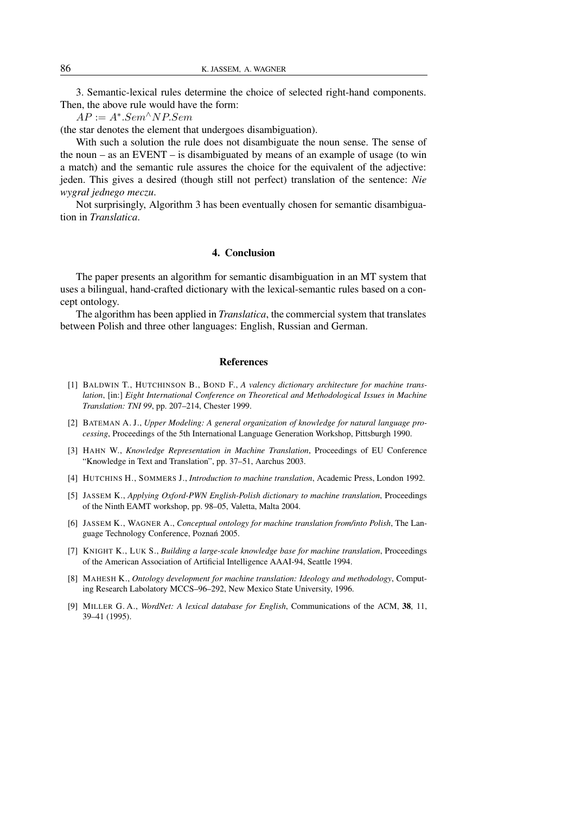3. Semantic-lexical rules determine the choice of selected right-hand components. Then, the above rule would have the form:

 $AP := A^*.Sem^{\wedge} NP.Sem$ 

(the star denotes the element that undergoes disambiguation).

With such a solution the rule does not disambiguate the noun sense. The sense of the noun – as an EVENT – is disambiguated by means of an example of usage (to win a match) and the semantic rule assures the choice for the equivalent of the adjective: jeden. This gives a desired (though still not perfect) translation of the sentence: *Nie wygrał jednego meczu*.

Not surprisingly, Algorithm 3 has been eventually chosen for semantic disambiguation in *Translatica*.

## **4. Conclusion**

The paper presents an algorithm for semantic disambiguation in an MT system that uses a bilingual, hand-crafted dictionary with the lexical-semantic rules based on a concept ontology.

The algorithm has been applied in *Translatica*, the commercial system that translates between Polish and three other languages: English, Russian and German.

### **References**

- [1] BALDWIN T., HUTCHINSON B., BOND F., *A valency dictionary architecture for machine translation*, [in:] *Eight International Conference on Theoretical and Methodological Issues in Machine Translation: TNI 99*, pp. 207–214, Chester 1999.
- [2] BATEMAN A. J., *Upper Modeling: A general organization of knowledge for natural language processing*, Proceedings of the 5th International Language Generation Workshop, Pittsburgh 1990.
- [3] HAHN W., *Knowledge Representation in Machine Translation*, Proceedings of EU Conference "Knowledge in Text and Translation", pp. 37–51, Aarchus 2003.
- [4] HUTCHINS H., SOMMERS J., *Introduction to machine translation*, Academic Press, London 1992.
- [5] JASSEM K., *Applying Oxford-PWN English-Polish dictionary to machine translation*, Proceedings of the Ninth EAMT workshop, pp. 98–05, Valetta, Malta 2004.
- [6] JASSEM K., WAGNER A., *Conceptual ontology for machine translation from/into Polish*, The Language Technology Conference, Poznan´ 2005.
- [7] KNIGHT K., LUK S., *Building a large-scale knowledge base for machine translation*, Proceedings of the American Association of Artificial Intelligence AAAI-94, Seattle 1994.
- [8] MAHESH K., *Ontology development for machine translation: Ideology and methodology*, Computing Research Labolatory MCCS–96–292, New Mexico State University, 1996.
- [9] MILLER G. A., *WordNet: A lexical database for English*, Communications of the ACM, **38**, 11, 39–41 (1995).